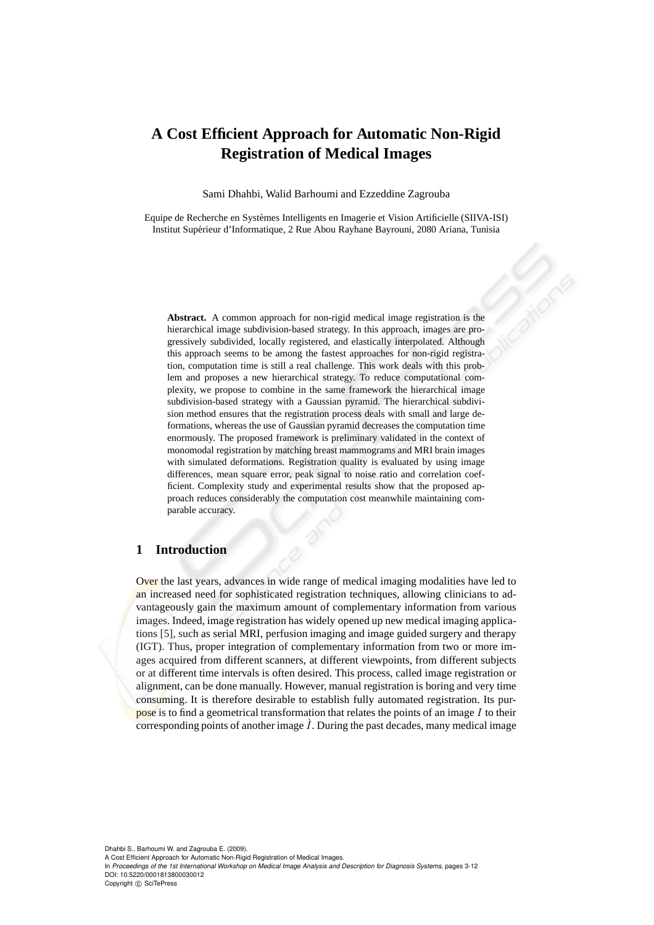# **A Cost Efficient Approach for Automatic Non-Rigid Registration of Medical Images**

Sami Dhahbi, Walid Barhoumi and Ezzeddine Zagrouba

Equipe de Recherche en Systèmes Intelligents en Imagerie et Vision Artificielle (SIIVA-ISI) Institut Supérieur d'Informatique, 2 Rue Abou Rayhane Bayrouni, 2080 Ariana, Tunisia

**Abstract.** A common approach for non-rigid medical image registration is the hierarchical image subdivision-based strategy. In this approach, images are progressively subdivided, locally registered, and elastically interpolated. Although this approach seems to be among the fastest approaches for non-rigid registration, computation time is still a real challenge. This work deals with this problem and proposes a new hierarchical strategy. To reduce computational complexity, we propose to combine in the same framework the hierarchical image subdivision-based strategy with a Gaussian pyramid. The hierarchical subdivision method ensures that the registration process deals with small and large deformations, whereas the use of Gaussian pyramid decreases the computation time enormously. The proposed framework is preliminary validated in the context of monomodal registration by matching breast mammograms and MRI brain images with simulated deformations. Registration quality is evaluated by using image differences, mean square error, peak signal to noise ratio and correlation coefficient. Complexity study and experimental results show that the proposed approach reduces considerably the computation cost meanwhile maintaining comparable accuracy.

# **1 Introduction**

Over the last years, advances in wide range of medical imaging modalities have led to an increased need for sophisticated registration techniques, allowing clinicians to advantageously gain the maximum amount of complementary information from various images. Indeed, image registration has widely opened up new medical imaging applications [5], such as serial MRI, perfusion imaging and image guided surgery and therapy (IGT). Thus, proper integration of complementary information from two or more images acquired from different scanners, at different viewpoints, from different subjects or at different time intervals is often desired. This process, called image registration or alignment, can be done manually. However, manual registration is boring and very time consuming. It is therefore desirable to establish fully automated registration. Its purpose is to find a geometrical transformation that relates the points of an image  $I$  to their corresponding points of another image  $\tilde{I}$ . During the past decades, many medical image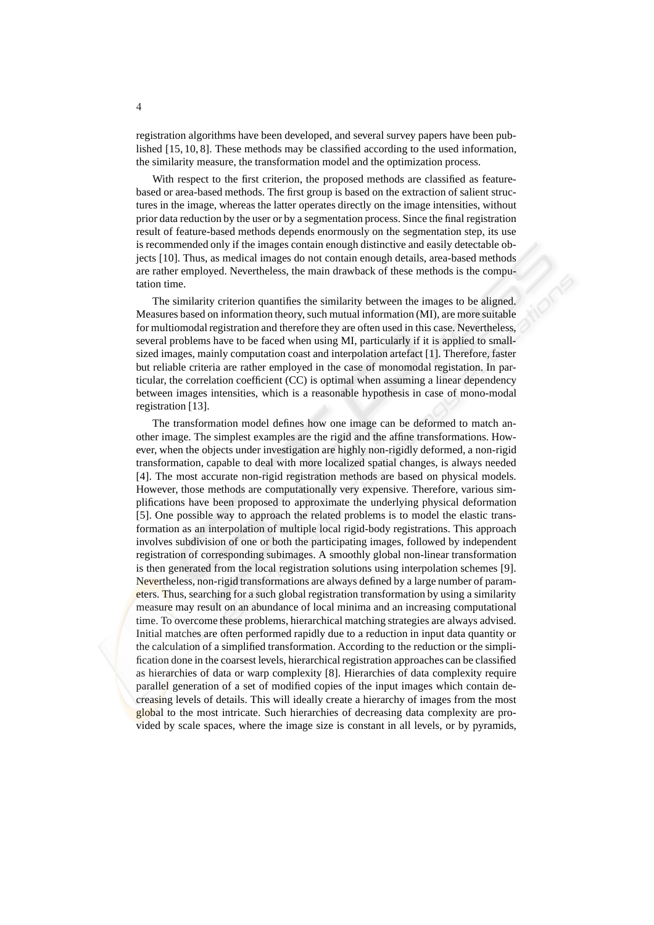registration algorithms have been developed, and several survey papers have been published [15, 10, 8]. These methods may be classified according to the used information, the similarity measure, the transformation model and the optimization process.

With respect to the first criterion, the proposed methods are classified as featurebased or area-based methods. The first group is based on the extraction of salient structures in the image, whereas the latter operates directly on the image intensities, without prior data reduction by the user or by a segmentation process. Since the final registration result of feature-based methods depends enormously on the segmentation step, its use is recommended only if the images contain enough distinctive and easily detectable objects [10]. Thus, as medical images do not contain enough details, area-based methods are rather employed. Nevertheless, the main drawback of these methods is the computation time.

The similarity criterion quantifies the similarity between the images to be aligned. Measures based on information theory, such mutual information (MI), are more suitable for multiomodal registration and therefore they are often used in this case. Nevertheless, several problems have to be faced when using MI, particularly if it is applied to smallsized images, mainly computation coast and interpolation artefact [1]. Therefore, faster but reliable criteria are rather employed in the case of monomodal registation. In particular, the correlation coefficient (CC) is optimal when assuming a linear dependency between images intensities, which is a reasonable hypothesis in case of mono-modal registration [13].

The transformation model defines how one image can be deformed to match another image. The simplest examples are the rigid and the affine transformations. However, when the objects under investigation are highly non-rigidly deformed, a non-rigid transformation, capable to deal with more localized spatial changes, is always needed [4]. The most accurate non-rigid registration methods are based on physical models. However, those methods are computationally very expensive. Therefore, various simplifications have been proposed to approximate the underlying physical deformation [5]. One possible way to approach the related problems is to model the elastic transformation as an interpolation of multiple local rigid-body registrations. This approach involves subdivision of one or both the participating images, followed by independent registration of corresponding subimages. A smoothly global non-linear transformation is then generated from the local registration solutions using interpolation schemes [9]. Nevertheless, non-rigid transformations are always defined by a large number of parameters. Thus, searching for a such global registration transformation by using a similarity measure may result on an abundance of local minima and an increasing computational time. To overcome these problems, hierarchical matching strategies are always advised. Initial matches are often performed rapidly due to a reduction in input data quantity or the calculation of a simplified transformation. According to the reduction or the simplification done in the coarsest levels, hierarchical registration approaches can be classified as hierarchies of data or warp complexity [8]. Hierarchies of data complexity require parallel generation of a set of modified copies of the input images which contain decreasing levels of details. This will ideally create a hierarchy of images from the most global to the most intricate. Such hierarchies of decreasing data complexity are provided by scale spaces, where the image size is constant in all levels, or by pyramids,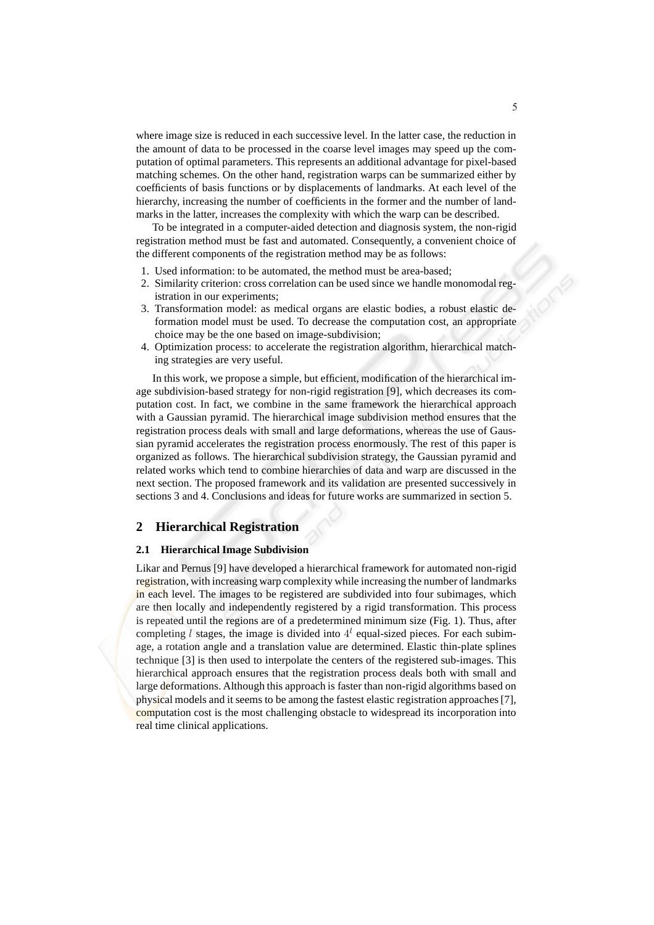where image size is reduced in each successive level. In the latter case, the reduction in the amount of data to be processed in the coarse level images may speed up the computation of optimal parameters. This represents an additional advantage for pixel-based matching schemes. On the other hand, registration warps can be summarized either by coefficients of basis functions or by displacements of landmarks. At each level of the hierarchy, increasing the number of coefficients in the former and the number of landmarks in the latter, increases the complexity with which the warp can be described.

To be integrated in a computer-aided detection and diagnosis system, the non-rigid registration method must be fast and automated. Consequently, a convenient choice of the different components of the registration method may be as follows:

- 1. Used information: to be automated, the method must be area-based;
- 2. Similarity criterion: cross correlation can be used since we handle monomodal registration in our experiments:
- 3. Transformation model: as medical organs are elastic bodies, a robust elastic deformation model must be used. To decrease the computation cost, an appropriate choice may be the one based on image-subdivision;
- 4. Optimization process: to accelerate the registration algorithm, hierarchical matching strategies are very useful.

In this work, we propose a simple, but efficient, modification of the hierarchical image subdivision-based strategy for non-rigid registration [9], which decreases its computation cost. In fact, we combine in the same framework the hierarchical approach with a Gaussian pyramid. The hierarchical image subdivision method ensures that the registration process deals with small and large deformations, whereas the use of Gaussian pyramid accelerates the registration process enormously. The rest of this paper is organized as follows. The hierarchical subdivision strategy, the Gaussian pyramid and related works which tend to combine hierarchies of data and warp are discussed in the next section. The proposed framework and its validation are presented successively in sections 3 and 4. Conclusions and ideas for future works are summarized in section 5.

## **2 Hierarchical Registration**

#### **2.1 Hierarchical Image Subdivision**

Likar and Pernus [9] have developed a hierarchical framework for automated non-rigid registration, with increasing warp complexity while increasing the number of landmarks in each level. The images to be registered are subdivided into four subimages, which are then locally and independently registered by a rigid transformation. This process is repeated until the regions are of a predetermined minimum size (Fig. 1). Thus, after completing l stages, the image is divided into  $4<sup>l</sup>$  equal-sized pieces. For each subimage, a rotation angle and a translation value are determined. Elastic thin-plate splines technique [3] is then used to interpolate the centers of the registered sub-images. This hierarchical approach ensures that the registration process deals both with small and large deformations. Although this approach is faster than non-rigid algorithms based on physical models and it seems to be among the fastest elastic registration approaches [7], computation cost is the most challenging obstacle to widespread its incorporation into real time clinical applications.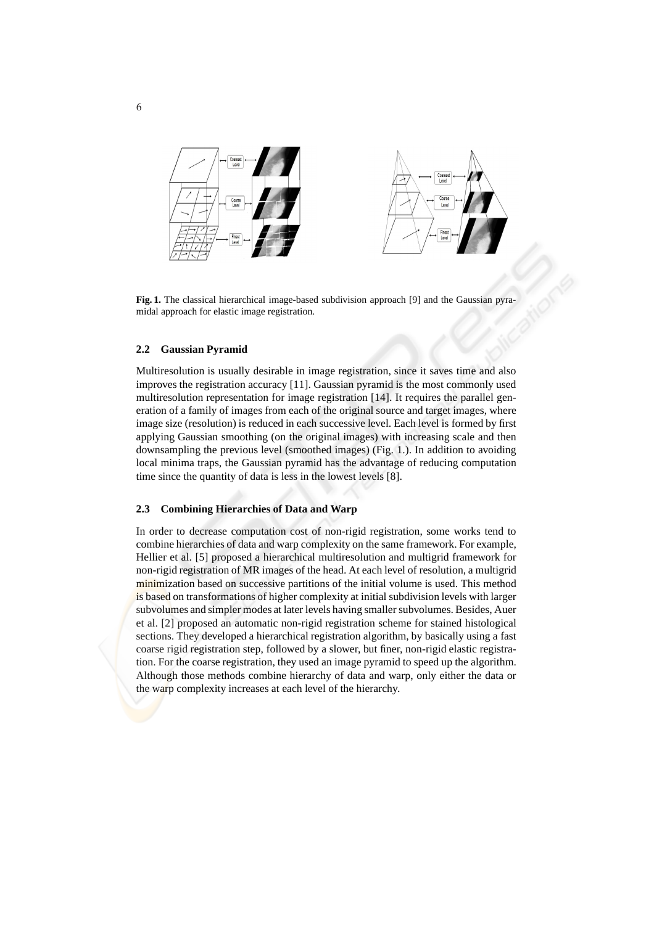



**Fig. 1.** The classical hierarchical image-based subdivision approach [9] and the Gaussian pyramidal approach for elastic image registration.

#### **2.2 Gaussian Pyramid**

Multiresolution is usually desirable in image registration, since it saves time and also improves the registration accuracy [11]. Gaussian pyramid is the most commonly used multiresolution representation for image registration [14]. It requires the parallel generation of a family of images from each of the original source and target images, where image size (resolution) is reduced in each successive level. Each level is formed by first applying Gaussian smoothing (on the original images) with increasing scale and then downsampling the previous level (smoothed images) (Fig. 1.). In addition to avoiding local minima traps, the Gaussian pyramid has the advantage of reducing computation time since the quantity of data is less in the lowest levels [8].

### **2.3 Combining Hierarchies of Data and Warp**

In order to decrease computation cost of non-rigid registration, some works tend to combine hierarchies of data and warp complexity on the same framework. For example, Hellier et al. [5] proposed a hierarchical multiresolution and multigrid framework for non-rigid registration of MR images of the head. At each level of resolution, a multigrid minimization based on successive partitions of the initial volume is used. This method is based on transformations of higher complexity at initial subdivision levels with larger subvolumes and simpler modes at later levels having smaller subvolumes. Besides, Auer et al. [2] proposed an automatic non-rigid registration scheme for stained histological sections. They developed a hierarchical registration algorithm, by basically using a fast coarse rigid registration step, followed by a slower, but finer, non-rigid elastic registration. For the coarse registration, they used an image pyramid to speed up the algorithm. Although those methods combine hierarchy of data and warp, only either the data or the warp complexity increases at each level of the hierarchy.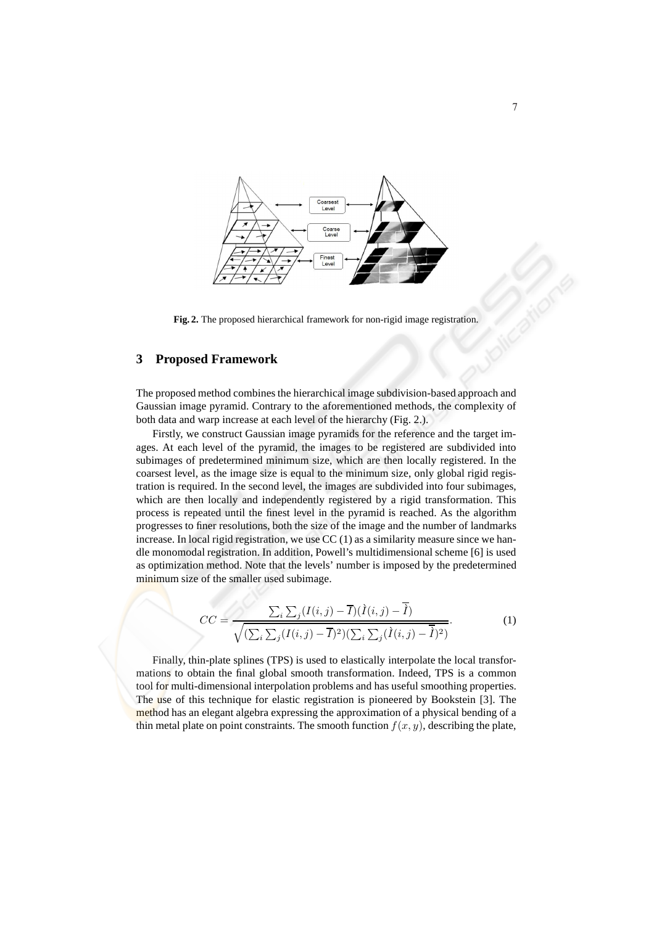

**Fig. 2.** The proposed hierarchical framework for non-rigid image registration.

## **3 Proposed Framework**

The proposed method combines the hierarchical image subdivision-based approach and Gaussian image pyramid. Contrary to the aforementioned methods, the complexity of both data and warp increase at each level of the hierarchy (Fig. 2.).

Firstly, we construct Gaussian image pyramids for the reference and the target images. At each level of the pyramid, the images to be registered are subdivided into subimages of predetermined minimum size, which are then locally registered. In the coarsest level, as the image size is equal to the minimum size, only global rigid registration is required. In the second level, the images are subdivided into four subimages, which are then locally and independently registered by a rigid transformation. This process is repeated until the finest level in the pyramid is reached. As the algorithm progresses to finer resolutions, both the size of the image and the number of landmarks increase. In local rigid registration, we use  $CC(1)$  as a similarity measure since we handle monomodal registration. In addition, Powell's multidimensional scheme [6] is used as optimization method. Note that the levels' number is imposed by the predetermined minimum size of the smaller used subimage.

$$
CC = \frac{\sum_{i} \sum_{j} (I(i,j) - \overline{I})(\overline{I}(i,j) - \overline{I})}{\sqrt{(\sum_{i} \sum_{j} (I(i,j) - \overline{I})^2)(\sum_{i} \sum_{j} (\overline{I}(i,j) - \overline{I})^2)}}.
$$
(1)

Finally, thin-plate splines (TPS) is used to elastically interpolate the local transformations to obtain the final global smooth transformation. Indeed, TPS is a common tool for multi-dimensional interpolation problems and has useful smoothing properties. The use of this technique for elastic registration is pioneered by Bookstein [3]. The method has an elegant algebra expressing the approximation of a physical bending of a thin metal plate on point constraints. The smooth function  $f(x, y)$ , describing the plate,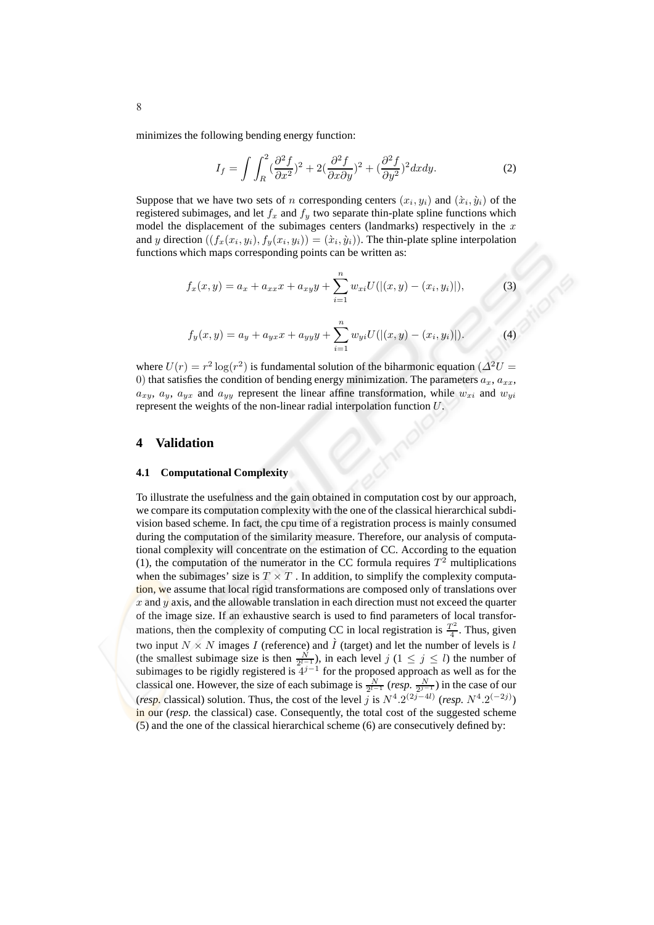minimizes the following bending energy function:

$$
I_f = \int \int_R^2 (\frac{\partial^2 f}{\partial x^2})^2 + 2(\frac{\partial^2 f}{\partial x \partial y})^2 + (\frac{\partial^2 f}{\partial y^2})^2 dx dy.
$$
 (2)

Suppose that we have two sets of *n* corresponding centers  $(x_i, y_i)$  and  $(\grave{x}_i, \grave{y}_i)$  of the registered subimages, and let  $f_x$  and  $f_y$  two separate thin-plate spline functions which model the displacement of the subimages centers (landmarks) respectively in the  $x$ and y direction  $((f_x(x_i, y_i), f_y(x_i, y_i)) = (\dot{x}_i, \dot{y}_i))$ . The thin-plate spline interpolation functions which maps corresponding points can be written as:

$$
f_x(x,y) = a_x + a_{xx}x + a_{xy}y + \sum_{i=1}^n w_{xi}U(|(x,y) - (x_i, y_i)|),
$$
\n(3)

$$
f_y(x,y) = a_y + a_{yx}x + a_{yy}y + \sum_{i=1}^n w_{yi}U(|(x,y) - (x_i, y_i)|). \tag{4}
$$

where  $U(r) = r^2 \log(r^2)$  is fundamental solution of the biharmonic equation ( $\Delta^2 U =$ 0) that satisfies the condition of bending energy minimization. The parameters  $a_x, a_{xx}$ ,  $a_{xy}$ ,  $a_{y}$ ,  $a_{yx}$  and  $a_{yy}$  represent the linear affine transformation, while  $w_{xi}$  and  $w_{yi}$ represent the weights of the non-linear radial interpolation function U.

#### **4 Validation**

#### **4.1 Computational Complexity**

To illustrate the usefulness and the gain obtained in computation cost by our approach, we compare its computation complexity with the one of the classical hierarchical subdivision based scheme. In fact, the cpu time of a registration process is mainly consumed during the computation of the similarity measure. Therefore, our analysis of computational complexity will concentrate on the estimation of CC. According to the equation (1), the computation of the numerator in the CC formula requires  $T^2$  multiplications when the subimages' size is  $T \times T$ . In addition, to simplify the complexity computation, we assume that local rigid transformations are composed only of translations over  $x$  and  $y$  axis, and the allowable translation in each direction must not exceed the quarter of the image size. If an exhaustive search is used to find parameters of local transformations, then the complexity of computing CC in local registration is  $\frac{T^2}{4}$  $\frac{1}{4}$ . Thus, given two input  $N \times N$  images I (reference) and  $\hat{I}$  (target) and let the number of levels is l (the smallest subimage size is then  $\frac{N}{2^{l-1}}$ ), in each level  $j$  ( $1 \le j \le l$ ) the number of subimages to be rigidly registered is  $4^{j-1}$  for the proposed approach as well as for the classical one. However, the size of each subimage is  $\frac{N}{2^{l-1}}$  (*resp.*  $\frac{N}{2^{j-1}}$ ) in the case of our (*resp.* classical) solution. Thus, the cost of the level  $\tilde{j}$  is  $N^4 \cdot 2^{(2j-4l)}$  (*resp.*  $N^4 \cdot 2^{(-2j)}$ ) in our (*resp.* the classical) case. Consequently, the total cost of the suggested scheme  $(5)$  and the one of the classical hierarchical scheme (6) are consecutively defined by: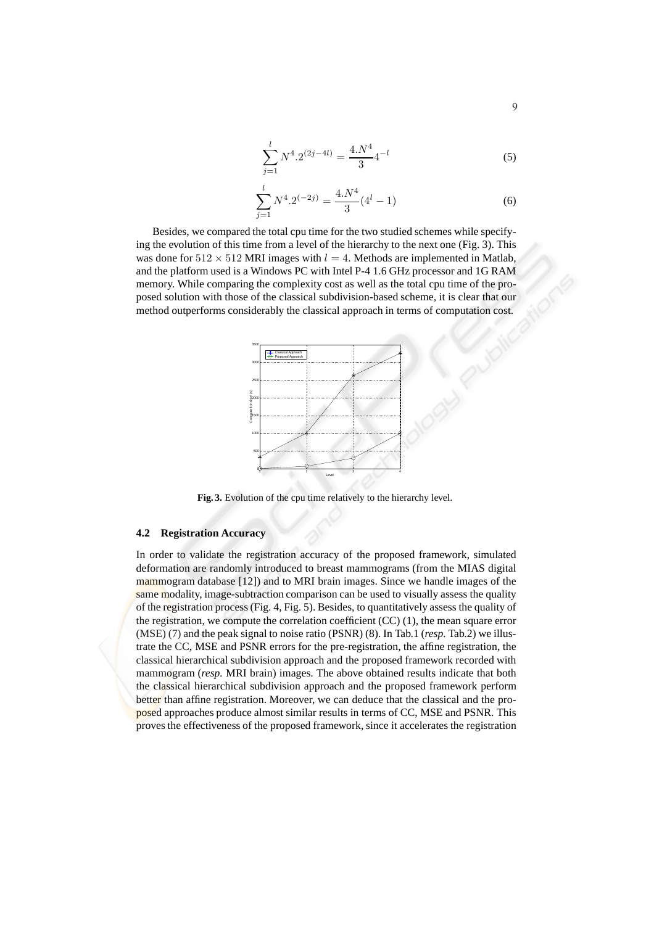$$
\sum_{j=1}^{l} N^4 \cdot 2^{(2j-4l)} = \frac{4 \cdot N^4}{3} 4^{-l}
$$
 (5)

$$
\sum_{j=1}^{l} N^4 \cdot 2^{(-2j)} = \frac{4 \cdot N^4}{3} (4^l - 1)
$$
 (6)

Besides, we compared the total cpu time for the two studied schemes while specifying the evolution of this time from a level of the hierarchy to the next one (Fig. 3). This was done for  $512 \times 512$  MRI images with  $l = 4$ . Methods are implemented in Matlab, and the platform used is a Windows PC with Intel P-4 1.6 GHz processor and 1G RAM memory. While comparing the complexity cost as well as the total cpu time of the proposed solution with those of the classical subdivision-based scheme, it is clear that our method outperforms considerably the classical approach in terms of computation cost.



**Fig. 3.** Evolution of the cpu time relatively to the hierarchy level.

### **4.2 Registration Accuracy**

In order to validate the registration accuracy of the proposed framework, simulated deformation are randomly introduced to breast mammograms (from the MIAS digital mammogram database [12]) and to MRI brain images. Since we handle images of the same modality, image-subtraction comparison can be used to visually assess the quality of the registration process (Fig. 4, Fig. 5). Besides, to quantitatively assess the quality of the registration, we compute the correlation coefficient (CC) (1), the mean square error (MSE) (7) and the peak signal to noise ratio (PSNR) (8). In Tab.1 (*resp.* Tab.2) we illustrate the CC, MSE and PSNR errors for the pre-registration, the affine registration, the classical hierarchical subdivision approach and the proposed framework recorded with mammogram (*resp.* MRI brain) images. The above obtained results indicate that both the classical hierarchical subdivision approach and the proposed framework perform better than affine registration. Moreover, we can deduce that the classical and the proposed approaches produce almost similar results in terms of CC, MSE and PSNR. This proves the effectiveness of the proposed framework, since it accelerates the registration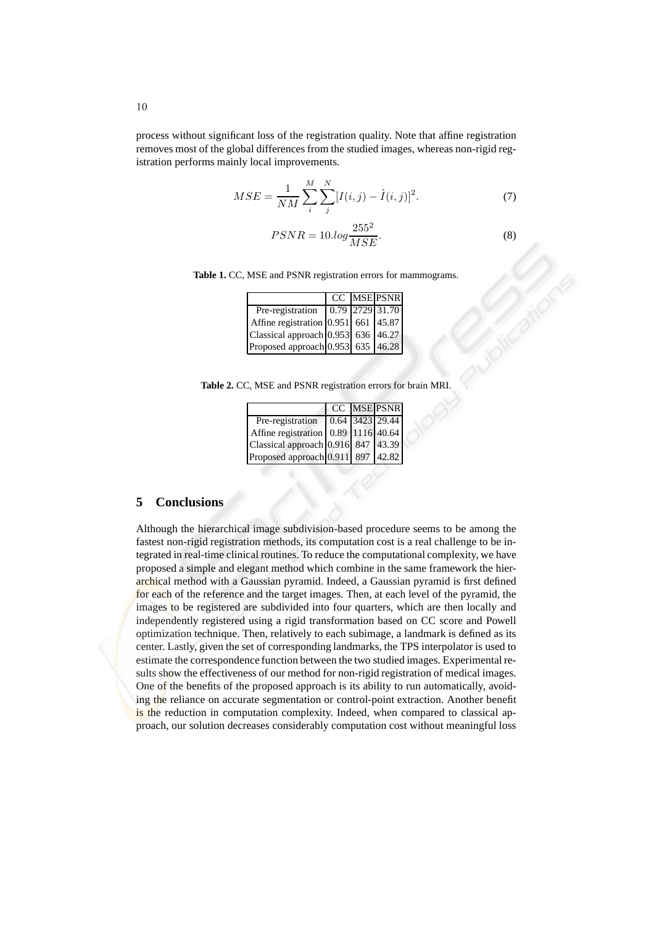process without significant loss of the registration quality. Note that affine registration removes most of the global differences from the studied images, whereas non-rigid registration performs mainly local improvements.

$$
MSE = \frac{1}{NM} \sum_{i}^{M} \sum_{j}^{N} [I(i, j) - \dot{I}(i, j)]^{2}.
$$
 (7)  
 
$$
PSNR = 10 \cdot log \frac{255^{2}}{MSE}.
$$
 (8)

**Table 1.** CC, MSE and PSNR registration errors for mammograms.

|                                     |  | CC MSE PSNR |
|-------------------------------------|--|-------------|
| Pre-registration 0.79 2729 31.70    |  |             |
| Affine registration 0.951 661 45.87 |  |             |
| Classical approach 0.953 636 46.27  |  |             |
| Proposed approach 0.953 635 46.28   |  |             |

**Table 2.** CC, MSE and PSNR registration errors for brain MRI.

|                                            |  | CC MSE PSNR |
|--------------------------------------------|--|-------------|
| Pre-registration $\boxed{0.64}$ 3423 29.44 |  |             |
| Affine registration 0.89 1116 40.64        |  |             |
| Classical approach 0.916 847 43.39         |  |             |
| Proposed approach 0.911 897 42.82          |  |             |

# **5 Conclusions**

Although the hierarchical image subdivision-based procedure seems to be among the fastest non-rigid registration methods, its computation cost is a real challenge to be integrated in real-time clinical routines. To reduce the computational complexity, we have proposed a simple and elegant method which combine in the same framework the hierarchical method with a Gaussian pyramid. Indeed, a Gaussian pyramid is first defined for each of the reference and the target images. Then, at each level of the pyramid, the images to be registered are subdivided into four quarters, which are then locally and independently registered using a rigid transformation based on CC score and Powell optimization technique. Then, relatively to each subimage, a landmark is defined as its center. Lastly, given the set of corresponding landmarks, the TPS interpolator is used to estimate the correspondence function between the two studied images. Experimental results show the effectiveness of our method for non-rigid registration of medical images. One of the benefits of the proposed approach is its ability to run automatically, avoiding the reliance on accurate segmentation or control-point extraction. Another benefit is the reduction in computation complexity. Indeed, when compared to classical approach, our solution decreases considerably computation cost without meaningful loss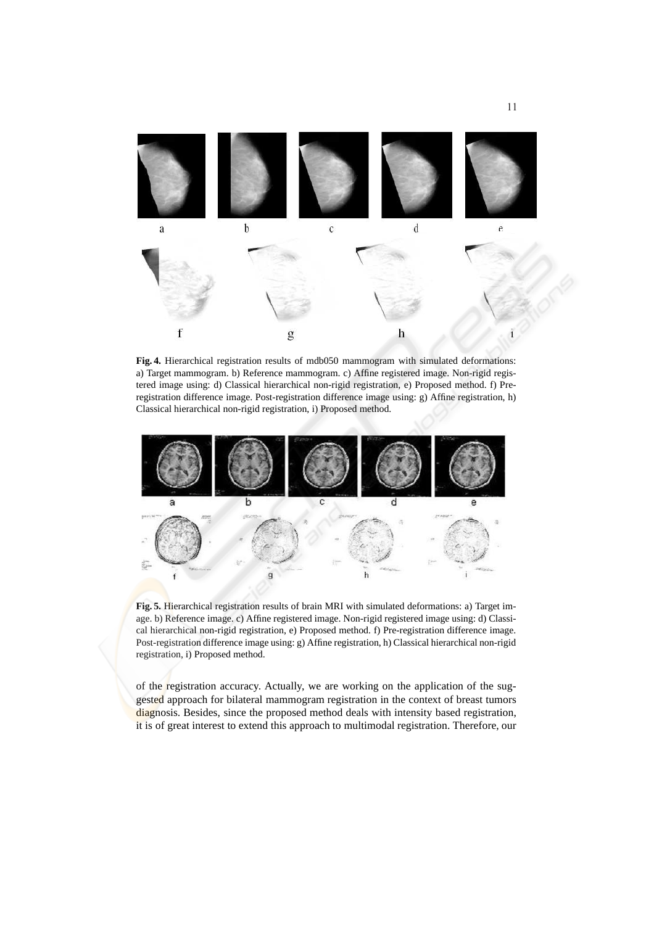

**Fig. 4.** Hierarchical registration results of mdb050 mammogram with simulated deformations: a) Target mammogram. b) Reference mammogram. c) Affine registered image. Non-rigid registered image using: d) Classical hierarchical non-rigid registration, e) Proposed method. f) Preregistration difference image. Post-registration difference image using: g) Affine registration, h) Classical hierarchical non-rigid registration, i) Proposed method.



**Fig. 5.** Hierarchical registration results of brain MRI with simulated deformations: a) Target image. b) Reference image. c) Affine registered image. Non-rigid registered image using: d) Classical hierarchical non-rigid registration, e) Proposed method. f) Pre-registration difference image. Post-registration difference image using: g) Affine registration, h) Classical hierarchical non-rigid registration, i) Proposed method.

of the registration accuracy. Actually, we are working on the application of the suggested approach for bilateral mammogram registration in the context of breast tumors diagnosis. Besides, since the proposed method deals with intensity based registration, it is of great interest to extend this approach to multimodal registration. Therefore, our